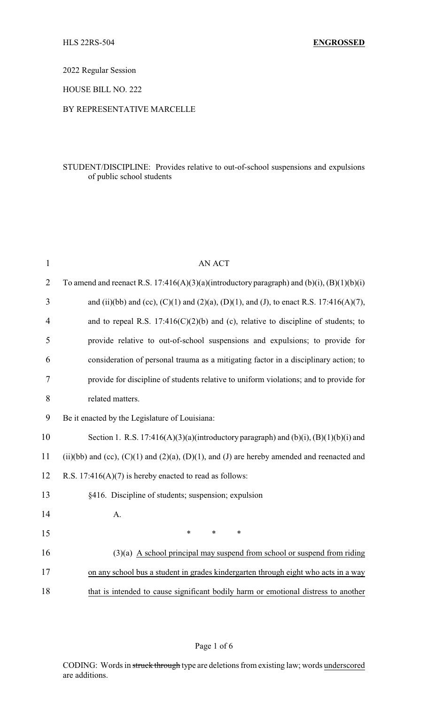2022 Regular Session

HOUSE BILL NO. 222

## BY REPRESENTATIVE MARCELLE

## STUDENT/DISCIPLINE: Provides relative to out-of-school suspensions and expulsions of public school students

| $\mathbf{1}$   | <b>AN ACT</b>                                                                                        |  |  |  |  |
|----------------|------------------------------------------------------------------------------------------------------|--|--|--|--|
| $\overline{2}$ | To amend and reenact R.S. 17:416(A)(3)(a)(introductory paragraph) and (b)(i), (B)(1)(b)(i)           |  |  |  |  |
| 3              | and (ii)(bb) and (cc), (C)(1) and (2)(a), (D)(1), and (J), to enact R.S. 17:416(A)(7),               |  |  |  |  |
| 4              | and to repeal R.S. $17:416(C)(2)(b)$ and (c), relative to discipline of students; to                 |  |  |  |  |
| 5              | provide relative to out-of-school suspensions and expulsions; to provide for                         |  |  |  |  |
| 6              | consideration of personal trauma as a mitigating factor in a disciplinary action; to                 |  |  |  |  |
| $\tau$         | provide for discipline of students relative to uniform violations; and to provide for                |  |  |  |  |
| 8              | related matters.                                                                                     |  |  |  |  |
| 9              | Be it enacted by the Legislature of Louisiana:                                                       |  |  |  |  |
| 10             | Section 1. R.S. 17:416(A)(3)(a)(introductory paragraph) and (b)(i), (B)(1)(b)(i) and                 |  |  |  |  |
| 11             | (ii)(bb) and (cc), $(C)(1)$ and $(2)(a)$ , $(D)(1)$ , and $(J)$ are hereby amended and reenacted and |  |  |  |  |
| 12             | R.S. $17:416(A)(7)$ is hereby enacted to read as follows:                                            |  |  |  |  |
| 13             | §416. Discipline of students; suspension; expulsion                                                  |  |  |  |  |
| 14             | A.                                                                                                   |  |  |  |  |
| 15             | $\ast$<br>$\ast$<br>$\ast$                                                                           |  |  |  |  |
| 16             | $(3)(a)$ A school principal may suspend from school or suspend from riding                           |  |  |  |  |
| 17             | on any school bus a student in grades kindergarten through eight who acts in a way                   |  |  |  |  |
| 18             | that is intended to cause significant bodily harm or emotional distress to another                   |  |  |  |  |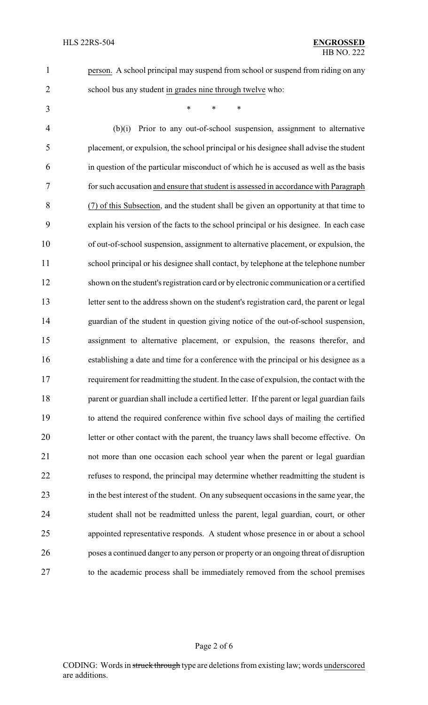person. A school principal may suspend from school or suspend from riding on any

- school bus any student in grades nine through twelve who:
- \* \* \*

 (b)(i) Prior to any out-of-school suspension, assignment to alternative placement, or expulsion, the school principal or his designee shall advise the student in question of the particular misconduct of which he is accused as well as the basis for such accusation and ensure that student is assessed in accordance with Paragraph (7) of this Subsection, and the student shall be given an opportunity at that time to explain his version of the facts to the school principal or his designee. In each case of out-of-school suspension, assignment to alternative placement, or expulsion, the school principal or his designee shall contact, by telephone at the telephone number shown on the student's registration card or by electronic communication or a certified letter sent to the address shown on the student's registration card, the parent or legal guardian of the student in question giving notice of the out-of-school suspension, assignment to alternative placement, or expulsion, the reasons therefor, and establishing a date and time for a conference with the principal or his designee as a requirement for readmitting the student. In the case of expulsion, the contact with the 18 parent or guardian shall include a certified letter. If the parent or legal guardian fails to attend the required conference within five school days of mailing the certified letter or other contact with the parent, the truancy laws shall become effective. On not more than one occasion each school year when the parent or legal guardian refuses to respond, the principal may determine whether readmitting the student is in the best interest of the student. On any subsequent occasions in the same year, the student shall not be readmitted unless the parent, legal guardian, court, or other appointed representative responds. A student whose presence in or about a school poses a continued danger to any person or property or an ongoing threat of disruption to the academic process shall be immediately removed from the school premises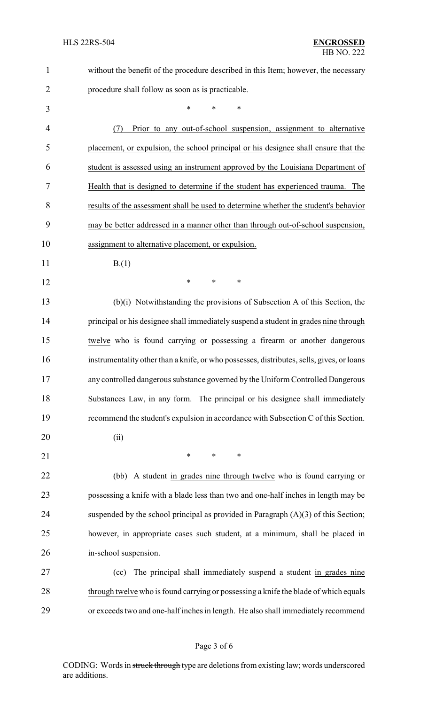| $\mathbf{1}$   | without the benefit of the procedure described in this Item; however, the necessary       |
|----------------|-------------------------------------------------------------------------------------------|
| $\overline{2}$ | procedure shall follow as soon as is practicable.                                         |
| 3              | $\ast$<br>$\ast$<br>$\ast$                                                                |
| 4              | Prior to any out-of-school suspension, assignment to alternative<br>(7)                   |
| 5              | placement, or expulsion, the school principal or his designee shall ensure that the       |
| 6              | student is assessed using an instrument approved by the Louisiana Department of           |
| 7              | Health that is designed to determine if the student has experienced trauma.<br>The        |
| 8              | results of the assessment shall be used to determine whether the student's behavior       |
| 9              | may be better addressed in a manner other than through out-of-school suspension,          |
| 10             | assignment to alternative placement, or expulsion.                                        |
| 11             | B(1)                                                                                      |
| 12             | ∗<br>$\ast$<br>∗                                                                          |
| 13             | (b)(i) Notwithstanding the provisions of Subsection A of this Section, the                |
| 14             | principal or his designee shall immediately suspend a student in grades nine through      |
| 15             | twelve who is found carrying or possessing a firearm or another dangerous                 |
| 16             | instrumentality other than a knife, or who possesses, distributes, sells, gives, or loans |
| 17             | any controlled dangerous substance governed by the Uniform Controlled Dangerous           |
| 18             | Substances Law, in any form. The principal or his designee shall immediately              |
| 19             | recommend the student's expulsion in accordance with Subsection C of this Section.        |
| 20             | (ii)                                                                                      |
| 21             | $\ast$<br>$\ast$<br>$\ast$                                                                |
| 22             | (bb) A student in grades nine through twelve who is found carrying or                     |
| 23             | possessing a knife with a blade less than two and one-half inches in length may be        |
| 24             | suspended by the school principal as provided in Paragraph $(A)(3)$ of this Section;      |
| 25             | however, in appropriate cases such student, at a minimum, shall be placed in              |
| 26             | in-school suspension.                                                                     |
| 27             | The principal shall immediately suspend a student in grades nine<br>(cc)                  |
| 28             | through twelve who is found carrying or possessing a knife the blade of which equals      |
| 29             | or exceeds two and one-half inches in length. He also shall immediately recommend         |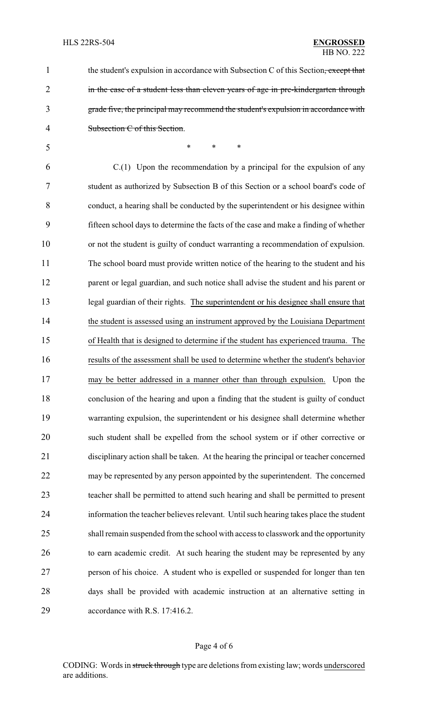1 the student's expulsion in accordance with Subsection C of this Section, except that 2 in the case of a student less than eleven years of age in pre-kindergarten through grade five, the principal may recommend the student's expulsion in accordance with Subsection C of this Section.

\* \* \*

 C.(1) Upon the recommendation by a principal for the expulsion of any student as authorized by Subsection B of this Section or a school board's code of conduct, a hearing shall be conducted by the superintendent or his designee within fifteen school days to determine the facts of the case and make a finding of whether or not the student is guilty of conduct warranting a recommendation of expulsion. The school board must provide written notice of the hearing to the student and his 12 parent or legal guardian, and such notice shall advise the student and his parent or legal guardian of their rights. The superintendent or his designee shall ensure that the student is assessed using an instrument approved by the Louisiana Department of Health that is designed to determine if the student has experienced trauma. The results of the assessment shall be used to determine whether the student's behavior may be better addressed in a manner other than through expulsion. Upon the conclusion of the hearing and upon a finding that the student is guilty of conduct warranting expulsion, the superintendent or his designee shall determine whether such student shall be expelled from the school system or if other corrective or disciplinary action shall be taken. At the hearing the principal or teacher concerned may be represented by any person appointed by the superintendent. The concerned teacher shall be permitted to attend such hearing and shall be permitted to present information the teacher believes relevant. Until such hearing takes place the student shall remain suspended from the school with access to classwork and the opportunity to earn academic credit. At such hearing the student may be represented by any person of his choice. A student who is expelled or suspended for longer than ten days shall be provided with academic instruction at an alternative setting in accordance with R.S. 17:416.2.

#### Page 4 of 6

CODING: Words in struck through type are deletions from existing law; words underscored are additions.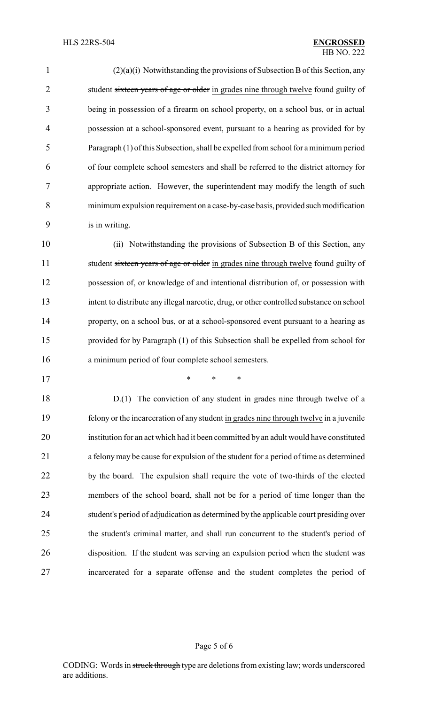(2)(a)(i) Notwithstanding the provisions of Subsection Bof this Section, any 2 student sixteen years of age or older in grades nine through twelve found guilty of being in possession of a firearm on school property, on a school bus, or in actual possession at a school-sponsored event, pursuant to a hearing as provided for by Paragraph (1) of this Subsection, shall be expelled from school for aminimum period of four complete school semesters and shall be referred to the district attorney for appropriate action. However, the superintendent may modify the length of such minimum expulsion requirement on a case-by-case basis, provided suchmodification is in writing.

 (ii) Notwithstanding the provisions of Subsection B of this Section, any 11 student sixteen years of age or older in grades nine through twelve found guilty of possession of, or knowledge of and intentional distribution of, or possession with intent to distribute any illegal narcotic, drug, or other controlled substance on school property, on a school bus, or at a school-sponsored event pursuant to a hearing as provided for by Paragraph (1) of this Subsection shall be expelled from school for a minimum period of four complete school semesters.

\* \* \*

18 D.(1) The conviction of any student in grades nine through twelve of a felony or the incarceration of any student in grades nine through twelve in a juvenile institution for an act which had it been committed by an adult would have constituted a felonymay be cause for expulsion of the student for a period of time as determined by the board. The expulsion shall require the vote of two-thirds of the elected members of the school board, shall not be for a period of time longer than the student's period of adjudication as determined by the applicable court presiding over the student's criminal matter, and shall run concurrent to the student's period of disposition. If the student was serving an expulsion period when the student was incarcerated for a separate offense and the student completes the period of

### Page 5 of 6